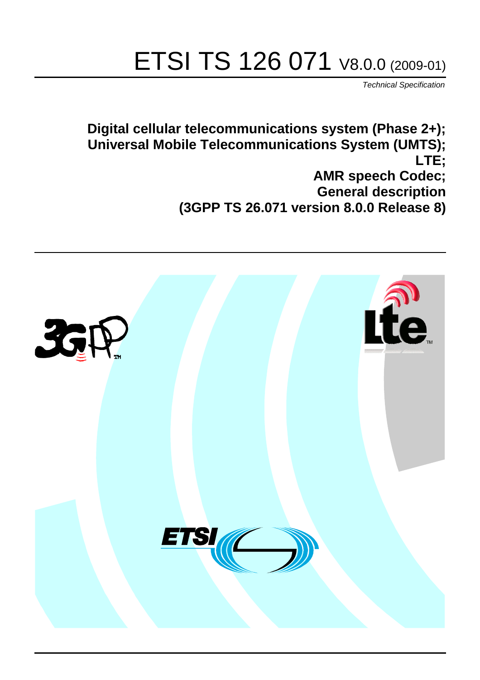# ETSI TS 126 071 V8.0.0 (2009-01)

*Technical Specification*

**Digital cellular telecommunications system (Phase 2+); Universal Mobile Telecommunications System (UMTS); LTE; AMR speech Codec; General description (3GPP TS 26.071 version 8.0.0 Release 8)**

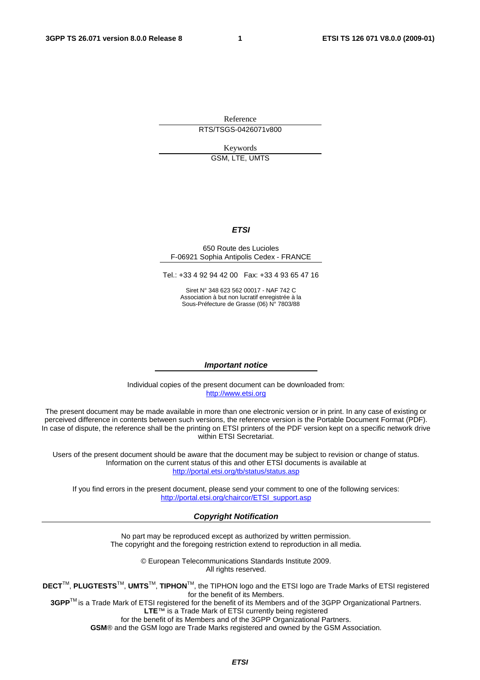Reference RTS/TSGS-0426071v800

Keywords

GSM, LTE, UMTS

#### *ETSI*

#### 650 Route des Lucioles F-06921 Sophia Antipolis Cedex - FRANCE

Tel.: +33 4 92 94 42 00 Fax: +33 4 93 65 47 16

Siret N° 348 623 562 00017 - NAF 742 C Association à but non lucratif enregistrée à la Sous-Préfecture de Grasse (06) N° 7803/88

#### *Important notice*

Individual copies of the present document can be downloaded from: [http://www.etsi.org](http://www.etsi.org/)

The present document may be made available in more than one electronic version or in print. In any case of existing or perceived difference in contents between such versions, the reference version is the Portable Document Format (PDF). In case of dispute, the reference shall be the printing on ETSI printers of the PDF version kept on a specific network drive within ETSI Secretariat.

Users of the present document should be aware that the document may be subject to revision or change of status. Information on the current status of this and other ETSI documents is available at <http://portal.etsi.org/tb/status/status.asp>

If you find errors in the present document, please send your comment to one of the following services: [http://portal.etsi.org/chaircor/ETSI\\_support.asp](http://portal.etsi.org/chaircor/ETSI_support.asp)

#### *Copyright Notification*

No part may be reproduced except as authorized by written permission. The copyright and the foregoing restriction extend to reproduction in all media.

> © European Telecommunications Standards Institute 2009. All rights reserved.

**DECT**TM, **PLUGTESTS**TM, **UMTS**TM, **TIPHON**TM, the TIPHON logo and the ETSI logo are Trade Marks of ETSI registered for the benefit of its Members.

**3GPP**TM is a Trade Mark of ETSI registered for the benefit of its Members and of the 3GPP Organizational Partners. **LTE**™ is a Trade Mark of ETSI currently being registered

for the benefit of its Members and of the 3GPP Organizational Partners.

**GSM**® and the GSM logo are Trade Marks registered and owned by the GSM Association.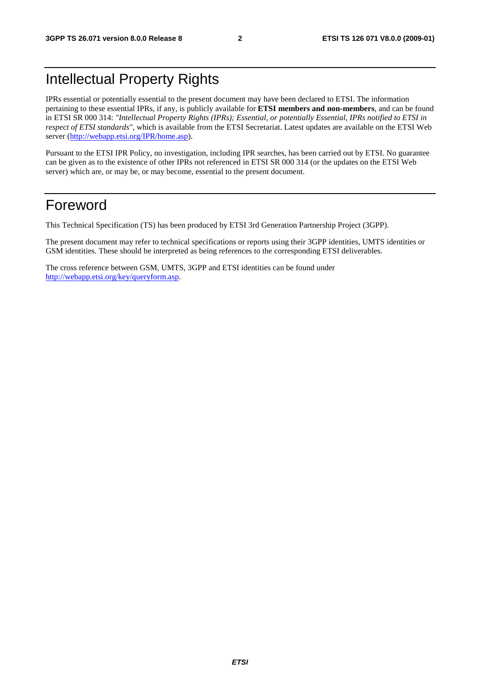### Intellectual Property Rights

IPRs essential or potentially essential to the present document may have been declared to ETSI. The information pertaining to these essential IPRs, if any, is publicly available for **ETSI members and non-members**, and can be found in ETSI SR 000 314: *"Intellectual Property Rights (IPRs); Essential, or potentially Essential, IPRs notified to ETSI in respect of ETSI standards"*, which is available from the ETSI Secretariat. Latest updates are available on the ETSI Web server ([http://webapp.etsi.org/IPR/home.asp\)](http://webapp.etsi.org/IPR/home.asp).

Pursuant to the ETSI IPR Policy, no investigation, including IPR searches, has been carried out by ETSI. No guarantee can be given as to the existence of other IPRs not referenced in ETSI SR 000 314 (or the updates on the ETSI Web server) which are, or may be, or may become, essential to the present document.

#### Foreword

This Technical Specification (TS) has been produced by ETSI 3rd Generation Partnership Project (3GPP).

The present document may refer to technical specifications or reports using their 3GPP identities, UMTS identities or GSM identities. These should be interpreted as being references to the corresponding ETSI deliverables.

The cross reference between GSM, UMTS, 3GPP and ETSI identities can be found under [http://webapp.etsi.org/key/queryform.asp.](http://webapp.etsi.org/key/queryform.asp)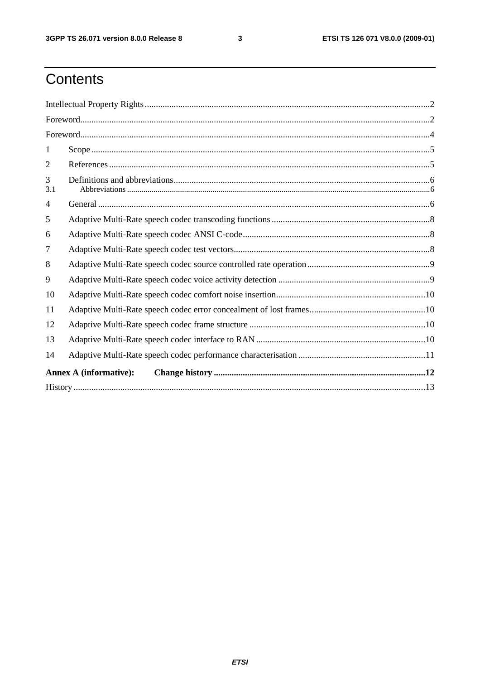$\mathbf{3}$ 

## Contents

| 1                             |  |  |  |  |  |
|-------------------------------|--|--|--|--|--|
| 2                             |  |  |  |  |  |
| 3<br>3.1                      |  |  |  |  |  |
| 4                             |  |  |  |  |  |
| 5                             |  |  |  |  |  |
| 6                             |  |  |  |  |  |
| 7                             |  |  |  |  |  |
| 8                             |  |  |  |  |  |
| 9                             |  |  |  |  |  |
| 10                            |  |  |  |  |  |
| 11                            |  |  |  |  |  |
| 12                            |  |  |  |  |  |
| 13                            |  |  |  |  |  |
| 14                            |  |  |  |  |  |
| <b>Annex A (informative):</b> |  |  |  |  |  |
|                               |  |  |  |  |  |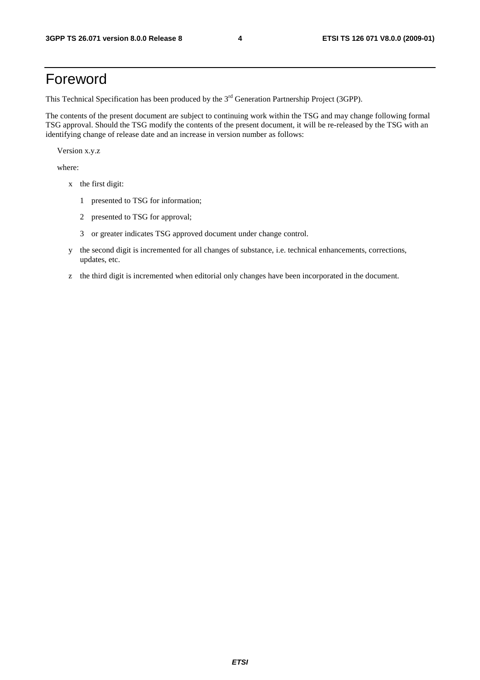#### Foreword

This Technical Specification has been produced by the 3<sup>rd</sup> Generation Partnership Project (3GPP).

The contents of the present document are subject to continuing work within the TSG and may change following formal TSG approval. Should the TSG modify the contents of the present document, it will be re-released by the TSG with an identifying change of release date and an increase in version number as follows:

Version x.y.z

where:

- x the first digit:
	- 1 presented to TSG for information;
	- 2 presented to TSG for approval;
	- 3 or greater indicates TSG approved document under change control.
- y the second digit is incremented for all changes of substance, i.e. technical enhancements, corrections, updates, etc.
- z the third digit is incremented when editorial only changes have been incorporated in the document.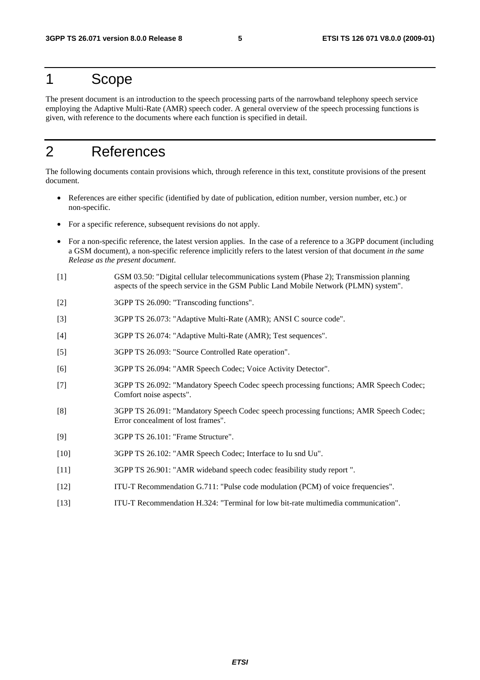#### 1 Scope

The present document is an introduction to the speech processing parts of the narrowband telephony speech service employing the Adaptive Multi-Rate (AMR) speech coder. A general overview of the speech processing functions is given, with reference to the documents where each function is specified in detail.

### 2 References

The following documents contain provisions which, through reference in this text, constitute provisions of the present document.

- References are either specific (identified by date of publication, edition number, version number, etc.) or non-specific.
- For a specific reference, subsequent revisions do not apply.
- For a non-specific reference, the latest version applies. In the case of a reference to a 3GPP document (including a GSM document), a non-specific reference implicitly refers to the latest version of that document *in the same Release as the present document*.
- [1] GSM 03.50: "Digital cellular telecommunications system (Phase 2); Transmission planning aspects of the speech service in the GSM Public Land Mobile Network (PLMN) system".
- [2] 3GPP TS 26.090: "Transcoding functions".
- [3] 3GPP TS 26.073: "Adaptive Multi-Rate (AMR); ANSI C source code".
- [4] 3GPP TS 26.074: "Adaptive Multi-Rate (AMR); Test sequences".
- [5] 3GPP TS 26.093: "Source Controlled Rate operation".
- [6] 3GPP TS 26.094: "AMR Speech Codec; Voice Activity Detector".
- [7] 3GPP TS 26.092: "Mandatory Speech Codec speech processing functions; AMR Speech Codec; Comfort noise aspects".
- [8] 3GPP TS 26.091: "Mandatory Speech Codec speech processing functions; AMR Speech Codec; Error concealment of lost frames".
- [9] 3GPP TS 26.101: "Frame Structure".
- [10] 3GPP TS 26.102: "AMR Speech Codec; Interface to Iu snd Uu".
- [11] 3GPP TS 26.901: "AMR wideband speech codec feasibility study report ".
- [12] ITU-T Recommendation G.711: "Pulse code modulation (PCM) of voice frequencies".
- [13] ITU-T Recommendation H.324: "Terminal for low bit-rate multimedia communication".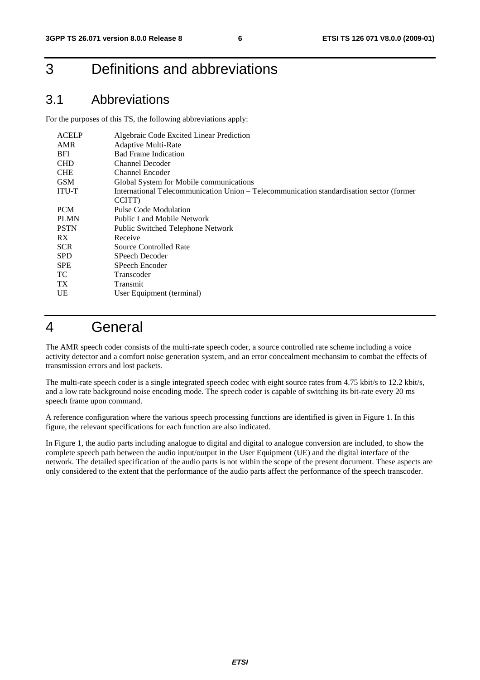#### 3 Definitions and abbreviations

#### 3.1 Abbreviations

For the purposes of this TS, the following abbreviations apply:

| <b>ACELP</b> | Algebraic Code Excited Linear Prediction                                                 |
|--------------|------------------------------------------------------------------------------------------|
| <b>AMR</b>   | <b>Adaptive Multi-Rate</b>                                                               |
| <b>BFI</b>   | <b>Bad Frame Indication</b>                                                              |
| <b>CHD</b>   | <b>Channel Decoder</b>                                                                   |
| <b>CHE</b>   | Channel Encoder                                                                          |
| <b>GSM</b>   | Global System for Mobile communications                                                  |
| <b>ITU-T</b> | International Telecommunication Union - Telecommunication standardisation sector (former |
|              | CCITT)                                                                                   |
| <b>PCM</b>   | <b>Pulse Code Modulation</b>                                                             |
| <b>PLMN</b>  | <b>Public Land Mobile Network</b>                                                        |
| <b>PSTN</b>  | Public Switched Telephone Network                                                        |
| RX           | Receive                                                                                  |
| <b>SCR</b>   | Source Controlled Rate                                                                   |
| <b>SPD</b>   | SPeech Decoder                                                                           |
| <b>SPE</b>   | SPeech Encoder                                                                           |
| TC.          | Transcoder                                                                               |
| TX.          | Transmit                                                                                 |
| UE           | User Equipment (terminal)                                                                |

#### 4 General

The AMR speech coder consists of the multi-rate speech coder, a source controlled rate scheme including a voice activity detector and a comfort noise generation system, and an error concealment mechansim to combat the effects of transmission errors and lost packets.

The multi-rate speech coder is a single integrated speech codec with eight source rates from 4.75 kbit/s to 12.2 kbit/s, and a low rate background noise encoding mode. The speech coder is capable of switching its bit-rate every 20 ms speech frame upon command.

A reference configuration where the various speech processing functions are identified is given in Figure 1. In this figure, the relevant specifications for each function are also indicated.

In Figure 1, the audio parts including analogue to digital and digital to analogue conversion are included, to show the complete speech path between the audio input/output in the User Equipment (UE) and the digital interface of the network. The detailed specification of the audio parts is not within the scope of the present document. These aspects are only considered to the extent that the performance of the audio parts affect the performance of the speech transcoder.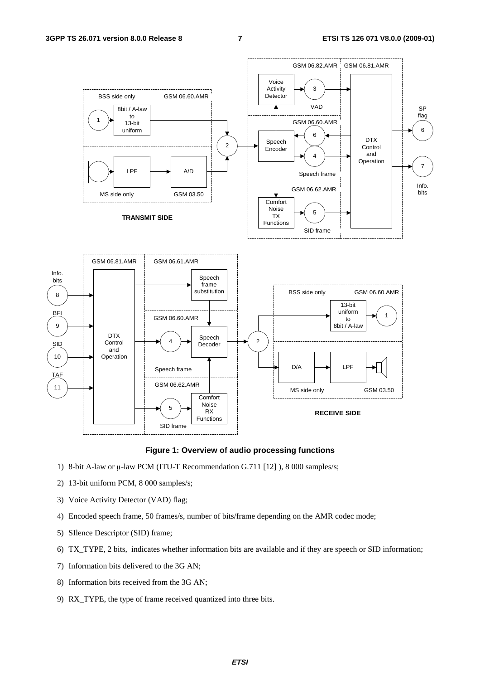



- 1) 8-bit A-law or μ-law PCM (ITU-T Recommendation G.711 [12] ), 8 000 samples/s;
- 2) 13-bit uniform PCM, 8 000 samples/s;
- 3) Voice Activity Detector (VAD) flag;
- 4) Encoded speech frame, 50 frames/s, number of bits/frame depending on the AMR codec mode;
- 5) SIlence Descriptor (SID) frame;
- 6) TX\_TYPE, 2 bits, indicates whether information bits are available and if they are speech or SID information;
- 7) Information bits delivered to the 3G AN;
- 8) Information bits received from the 3G AN;
- 9) RX\_TYPE, the type of frame received quantized into three bits.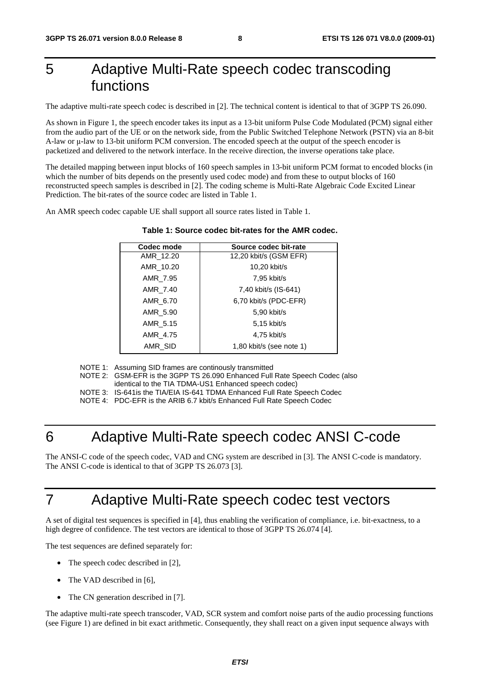### 5 Adaptive Multi-Rate speech codec transcoding functions

The adaptive multi-rate speech codec is described in [2]. The technical content is identical to that of 3GPP TS 26.090.

As shown in Figure 1, the speech encoder takes its input as a 13-bit uniform Pulse Code Modulated (PCM) signal either from the audio part of the UE or on the network side, from the Public Switched Telephone Network (PSTN) via an 8-bit A-law or μ-law to 13-bit uniform PCM conversion. The encoded speech at the output of the speech encoder is packetized and delivered to the network interface. In the receive direction, the inverse operations take place.

The detailed mapping between input blocks of 160 speech samples in 13-bit uniform PCM format to encoded blocks (in which the number of bits depends on the presently used codec mode) and from these to output blocks of 160 reconstructed speech samples is described in [2]. The coding scheme is Multi-Rate Algebraic Code Excited Linear Prediction. The bit-rates of the source codec are listed in Table 1.

An AMR speech codec capable UE shall support all source rates listed in Table 1.

# **Table 1: Source codec bit-rates for the AMR codec.**

| Codec mode | Source codec bit-rate    |
|------------|--------------------------|
| AMR 12.20  | 12,20 kbit/s (GSM EFR)   |
| AMR 10.20  | 10,20 kbit/s             |
| AMR 7.95   | 7,95 kbit/s              |
| AMR 7.40   | 7,40 kbit/s (IS-641)     |
| AMR 6.70   | 6,70 kbit/s (PDC-EFR)    |
| AMR 5.90   | 5,90 kbit/s              |
| AMR 5.15   | 5,15 kbit/s              |
| AMR 4.75   | 4,75 kbit/s              |
| AMR SID    | 1,80 kbit/s (see note 1) |
|            |                          |

NOTE 1: Assuming SID frames are continously transmitted

 NOTE 2: GSM-EFR is the 3GPP TS 26.090 Enhanced Full Rate Speech Codec (also identical to the TIA TDMA-US1 Enhanced speech codec)

NOTE 3: IS-641is the TIA/EIA IS-641 TDMA Enhanced Full Rate Speech Codec

NOTE 4: PDC-EFR is the ARIB 6.7 kbit/s Enhanced Full Rate Speech Codec

#### 6 Adaptive Multi-Rate speech codec ANSI C-code

The ANSI-C code of the speech codec, VAD and CNG system are described in [3]. The ANSI C-code is mandatory. The ANSI C-code is identical to that of 3GPP TS 26.073 [3].

#### 7 Adaptive Multi-Rate speech codec test vectors

A set of digital test sequences is specified in [4], thus enabling the verification of compliance, i.e. bit-exactness, to a high degree of confidence. The test vectors are identical to those of 3GPP TS 26.074 [4].

The test sequences are defined separately for:

- The speech codec described in [2],
- The VAD described in [6],
- The CN generation described in [7].

The adaptive multi-rate speech transcoder, VAD, SCR system and comfort noise parts of the audio processing functions (see Figure 1) are defined in bit exact arithmetic. Consequently, they shall react on a given input sequence always with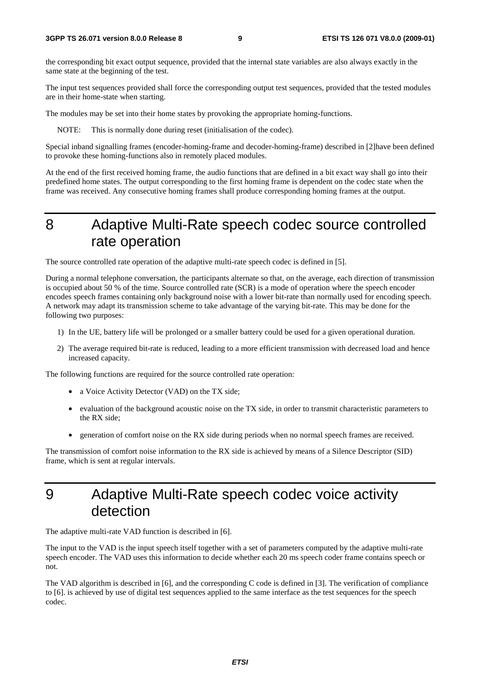the corresponding bit exact output sequence, provided that the internal state variables are also always exactly in the same state at the beginning of the test.

The input test sequences provided shall force the corresponding output test sequences, provided that the tested modules are in their home-state when starting.

The modules may be set into their home states by provoking the appropriate homing-functions.

NOTE: This is normally done during reset (initialisation of the codec).

Special inband signalling frames (encoder-homing-frame and decoder-homing-frame) described in [2]have been defined to provoke these homing-functions also in remotely placed modules.

At the end of the first received homing frame, the audio functions that are defined in a bit exact way shall go into their predefined home states. The output corresponding to the first homing frame is dependent on the codec state when the frame was received. Any consecutive homing frames shall produce corresponding homing frames at the output.

#### 8 Adaptive Multi-Rate speech codec source controlled rate operation

The source controlled rate operation of the adaptive multi-rate speech codec is defined in [5].

During a normal telephone conversation, the participants alternate so that, on the average, each direction of transmission is occupied about 50 % of the time. Source controlled rate (SCR) is a mode of operation where the speech encoder encodes speech frames containing only background noise with a lower bit-rate than normally used for encoding speech. A network may adapt its transmission scheme to take advantage of the varying bit-rate. This may be done for the following two purposes:

- 1) In the UE, battery life will be prolonged or a smaller battery could be used for a given operational duration.
- 2) The average required bit-rate is reduced, leading to a more efficient transmission with decreased load and hence increased capacity.

The following functions are required for the source controlled rate operation:

- a Voice Activity Detector (VAD) on the TX side;
- evaluation of the background acoustic noise on the TX side, in order to transmit characteristic parameters to the RX side;
- generation of comfort noise on the RX side during periods when no normal speech frames are received.

The transmission of comfort noise information to the RX side is achieved by means of a Silence Descriptor (SID) frame, which is sent at regular intervals.

### 9 Adaptive Multi-Rate speech codec voice activity detection

The adaptive multi-rate VAD function is described in [6].

The input to the VAD is the input speech itself together with a set of parameters computed by the adaptive multi-rate speech encoder. The VAD uses this information to decide whether each 20 ms speech coder frame contains speech or not.

The VAD algorithm is described in [6], and the corresponding C code is defined in [3]. The verification of compliance to [6]. is achieved by use of digital test sequences applied to the same interface as the test sequences for the speech codec.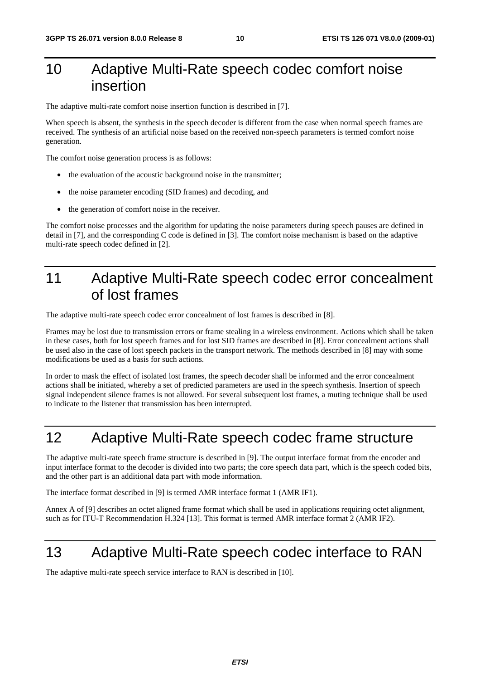### 10 Adaptive Multi-Rate speech codec comfort noise insertion

The adaptive multi-rate comfort noise insertion function is described in [7].

When speech is absent, the synthesis in the speech decoder is different from the case when normal speech frames are received. The synthesis of an artificial noise based on the received non-speech parameters is termed comfort noise generation.

The comfort noise generation process is as follows:

- the evaluation of the acoustic background noise in the transmitter;
- the noise parameter encoding (SID frames) and decoding, and
- the generation of comfort noise in the receiver.

The comfort noise processes and the algorithm for updating the noise parameters during speech pauses are defined in detail in [7], and the corresponding C code is defined in [3]. The comfort noise mechanism is based on the adaptive multi-rate speech codec defined in [2].

### 11 Adaptive Multi-Rate speech codec error concealment of lost frames

The adaptive multi-rate speech codec error concealment of lost frames is described in [8].

Frames may be lost due to transmission errors or frame stealing in a wireless environment. Actions which shall be taken in these cases, both for lost speech frames and for lost SID frames are described in [8]. Error concealment actions shall be used also in the case of lost speech packets in the transport network. The methods described in [8] may with some modifications be used as a basis for such actions.

In order to mask the effect of isolated lost frames, the speech decoder shall be informed and the error concealment actions shall be initiated, whereby a set of predicted parameters are used in the speech synthesis. Insertion of speech signal independent silence frames is not allowed. For several subsequent lost frames, a muting technique shall be used to indicate to the listener that transmission has been interrupted.

#### 12 Adaptive Multi-Rate speech codec frame structure

The adaptive multi-rate speech frame structure is described in [9]. The output interface format from the encoder and input interface format to the decoder is divided into two parts; the core speech data part, which is the speech coded bits, and the other part is an additional data part with mode information.

The interface format described in [9] is termed AMR interface format 1 (AMR IF1).

Annex A of [9] describes an octet aligned frame format which shall be used in applications requiring octet alignment, such as for ITU-T Recommendation H.324 [13]. This format is termed AMR interface format 2 (AMR IF2).

#### 13 Adaptive Multi-Rate speech codec interface to RAN

The adaptive multi-rate speech service interface to RAN is described in [10].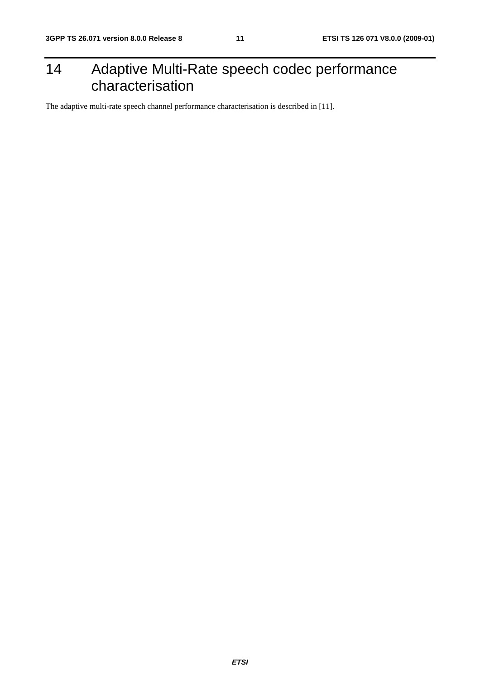### 14 Adaptive Multi-Rate speech codec performance characterisation

The adaptive multi-rate speech channel performance characterisation is described in [11].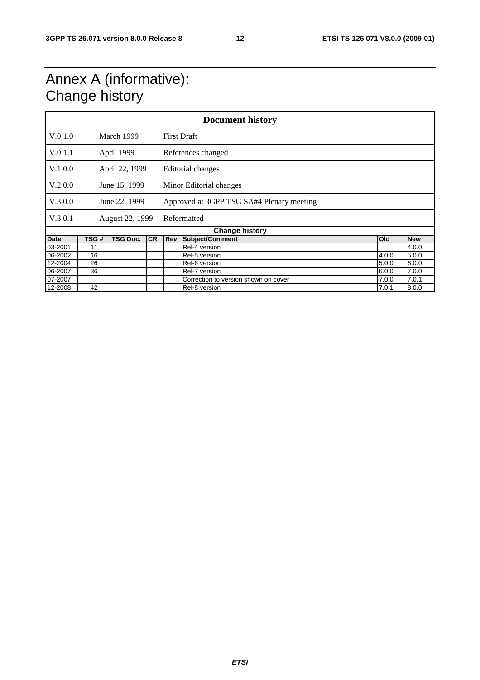### Annex A (informative): Change history

| <b>Document history</b> |                       |                 |                 |           |                    |                                           |  |            |            |
|-------------------------|-----------------------|-----------------|-----------------|-----------|--------------------|-------------------------------------------|--|------------|------------|
| V.0.1.0                 |                       |                 | March 1999      |           | <b>First Draft</b> |                                           |  |            |            |
| V.0.1.1                 |                       |                 | April 1999      |           |                    | References changed                        |  |            |            |
| V.1.0.0                 |                       |                 | April 22, 1999  |           |                    | Editorial changes                         |  |            |            |
| V.2.0.0                 |                       |                 | June 15, 1999   |           |                    | Minor Editorial changes                   |  |            |            |
| V.3.0.0                 |                       |                 | June 22, 1999   |           |                    | Approved at 3GPP TSG SA#4 Plenary meeting |  |            |            |
| V.3.0.1                 |                       | August 22, 1999 |                 |           | Reformatted        |                                           |  |            |            |
|                         | <b>Change history</b> |                 |                 |           |                    |                                           |  |            |            |
| <b>Date</b>             | TSG #                 |                 | <b>TSG Doc.</b> | <b>CR</b> | Rev                | Subject/Comment                           |  | <b>Old</b> | <b>New</b> |
| 03-2001                 | 11                    |                 |                 |           |                    | Rel-4 version                             |  |            | 4.0.0      |
| 06-2002                 | 16                    |                 |                 |           |                    | Rel-5 version                             |  | 4.0.0      | 5.0.0      |
| 12-2004                 | 26                    |                 |                 |           |                    | Rel-6 version                             |  | 5.0.0      | 6.0.0      |
| 06-2007                 | 36                    |                 |                 |           |                    | Rel-7 version                             |  | 6.0.0      | 7.0.0      |
| 07-2007                 |                       |                 |                 |           |                    | Correction to version shown on cover      |  | 7.0.0      | 7.0.1      |
| 12-2008                 | 42                    |                 |                 |           |                    | Rel-8 version                             |  | 7.0.1      | 8.0.0      |